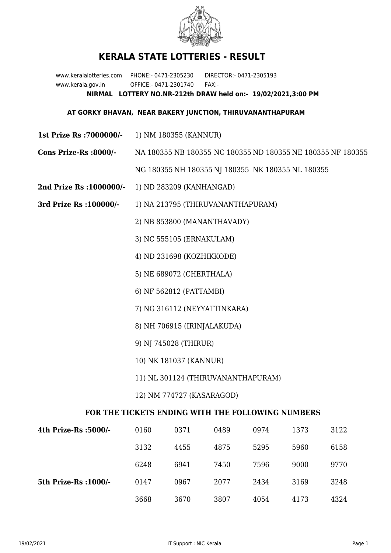

## **KERALA STATE LOTTERIES - RESULT**

www.keralalotteries.com PHONE:- 0471-2305230 DIRECTOR:- 0471-2305193 www.kerala.gov.in OFFICE:- 0471-2301740 FAX:- **NIRMAL LOTTERY NO.NR-212th DRAW held on:- 19/02/2021,3:00 PM**

## **AT GORKY BHAVAN, NEAR BAKERY JUNCTION, THIRUVANANTHAPURAM**

- **1st Prize Rs :7000000/-** 1) NM 180355 (KANNUR)
- **Cons Prize-Rs :8000/-** NA 180355 NB 180355 NC 180355 ND 180355 NE 180355 NF 180355 NG 180355 NH 180355 NJ 180355 NK 180355 NL 180355
- **2nd Prize Rs :1000000/-** 1) ND 283209 (KANHANGAD)
- **3rd Prize Rs :100000/-** 1) NA 213795 (THIRUVANANTHAPURAM)

2) NB 853800 (MANANTHAVADY)

3) NC 555105 (ERNAKULAM)

4) ND 231698 (KOZHIKKODE)

- 5) NE 689072 (CHERTHALA)
- 6) NF 562812 (PATTAMBI)
- 7) NG 316112 (NEYYATTINKARA)
- 8) NH 706915 (IRINJALAKUDA)
- 9) NJ 745028 (THIRUR)
- 10) NK 181037 (KANNUR)
- 11) NL 301124 (THIRUVANANTHAPURAM)
- 12) NM 774727 (KASARAGOD)

## **FOR THE TICKETS ENDING WITH THE FOLLOWING NUMBERS**

| 4th Prize-Rs :5000/-  | 0160 | 0371 | 0489 | 0974 | 1373 | 3122 |
|-----------------------|------|------|------|------|------|------|
|                       | 3132 | 4455 | 4875 | 5295 | 5960 | 6158 |
|                       | 6248 | 6941 | 7450 | 7596 | 9000 | 9770 |
| 5th Prize-Rs : 1000/- | 0147 | 0967 | 2077 | 2434 | 3169 | 3248 |
|                       | 3668 | 3670 | 3807 | 4054 | 4173 | 4324 |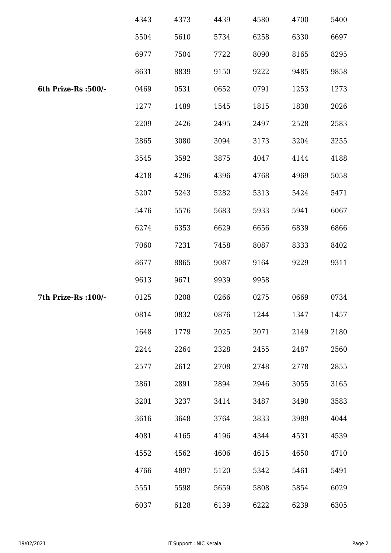|                      | 4343 | 4373 | 4439 | 4580 | 4700 | 5400 |
|----------------------|------|------|------|------|------|------|
|                      | 5504 | 5610 | 5734 | 6258 | 6330 | 6697 |
|                      | 6977 | 7504 | 7722 | 8090 | 8165 | 8295 |
|                      | 8631 | 8839 | 9150 | 9222 | 9485 | 9858 |
| 6th Prize-Rs :500/-  | 0469 | 0531 | 0652 | 0791 | 1253 | 1273 |
|                      | 1277 | 1489 | 1545 | 1815 | 1838 | 2026 |
|                      | 2209 | 2426 | 2495 | 2497 | 2528 | 2583 |
|                      | 2865 | 3080 | 3094 | 3173 | 3204 | 3255 |
|                      | 3545 | 3592 | 3875 | 4047 | 4144 | 4188 |
|                      | 4218 | 4296 | 4396 | 4768 | 4969 | 5058 |
|                      | 5207 | 5243 | 5282 | 5313 | 5424 | 5471 |
|                      | 5476 | 5576 | 5683 | 5933 | 5941 | 6067 |
|                      | 6274 | 6353 | 6629 | 6656 | 6839 | 6866 |
|                      | 7060 | 7231 | 7458 | 8087 | 8333 | 8402 |
|                      | 8677 | 8865 | 9087 | 9164 | 9229 | 9311 |
|                      | 9613 | 9671 | 9939 | 9958 |      |      |
| 7th Prize-Rs : 100/- | 0125 | 0208 | 0266 | 0275 | 0669 | 0734 |
|                      | 0814 | 0832 | 0876 | 1244 | 1347 | 1457 |
|                      | 1648 | 1779 | 2025 | 2071 | 2149 | 2180 |
|                      | 2244 | 2264 | 2328 | 2455 | 2487 | 2560 |
|                      | 2577 | 2612 | 2708 | 2748 | 2778 | 2855 |
|                      | 2861 | 2891 | 2894 | 2946 | 3055 | 3165 |
|                      | 3201 | 3237 | 3414 | 3487 | 3490 | 3583 |
|                      | 3616 | 3648 | 3764 | 3833 | 3989 | 4044 |
|                      | 4081 | 4165 | 4196 | 4344 | 4531 | 4539 |
|                      | 4552 | 4562 | 4606 | 4615 | 4650 | 4710 |
|                      | 4766 | 4897 | 5120 | 5342 | 5461 | 5491 |
|                      | 5551 | 5598 | 5659 | 5808 | 5854 | 6029 |
|                      | 6037 | 6128 | 6139 | 6222 | 6239 | 6305 |